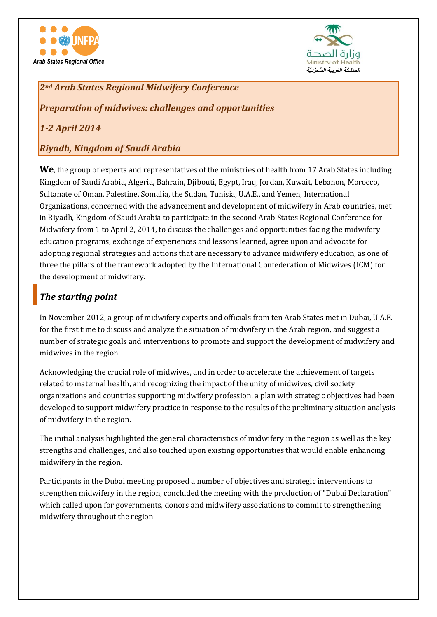



*2nd Arab States Regional Midwifery Conference*

*Preparation of midwives: challenges and opportunities*

*1-2 April 2014*

### *Riyadh, Kingdom of Saudi Arabia*

**We**, the group of experts and representatives of the ministries of health from 17 Arab States including Kingdom of Saudi Arabia, Algeria, Bahrain, Djibouti, Egypt, Iraq, Jordan, Kuwait, Lebanon, Morocco, Sultanate of Oman, Palestine, Somalia, the Sudan, Tunisia, U.A.E., and Yemen, International Organizations, concerned with the advancement and development of midwifery in Arab countries, met in Riyadh, Kingdom of Saudi Arabia to participate in the second Arab States Regional Conference for Midwifery from 1 to April 2, 2014, to discuss the challenges and opportunities facing the midwifery education programs, exchange of experiences and lessons learned, agree upon and advocate for adopting regional strategies and actions that are necessary to advance midwifery education, as one of three the pillars of the framework adopted by the International Confederation of Midwives (ICM) for the development of midwifery.

## *The starting point*

In November 2012, a group of midwifery experts and officials from ten Arab States met in Dubai, U.A.E. for the first time to discuss and analyze the situation of midwifery in the Arab region, and suggest a number of strategic goals and interventions to promote and support the development of midwifery and midwives in the region.

Acknowledging the crucial role of midwives, and in order to accelerate the achievement of targets related to maternal health, and recognizing the impact of the unity of midwives, civil society organizations and countries supporting midwifery profession, a plan with strategic objectives had been developed to support midwifery practice in response to the results of the preliminary situation analysis of midwifery in the region.

The initial analysis highlighted the general characteristics of midwifery in the region as well as the key strengths and challenges, and also touched upon existing opportunities that would enable enhancing midwifery in the region.

Participants in the Dubai meeting proposed a number of objectives and strategic interventions to strengthen midwifery in the region, concluded the meeting with the production of "Dubai Declaration" which called upon for governments, donors and midwifery associations to commit to strengthening midwifery throughout the region.